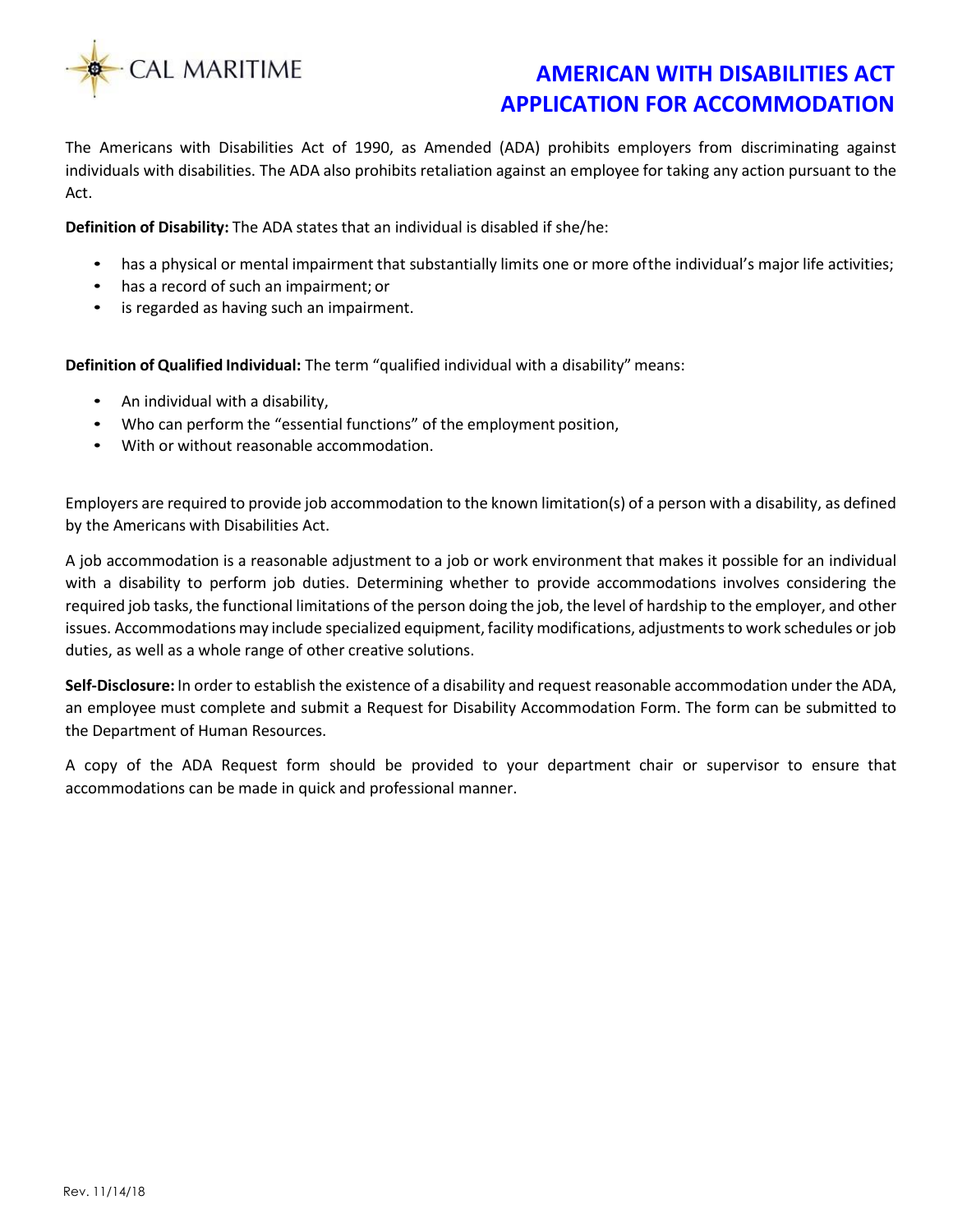

The Americans with Disabilities Act of 1990, as Amended (ADA) prohibits employers from discriminating against individuals with disabilities. The ADA also prohibits retaliation against an employee for taking any action pursuant to the Act.

**Definition of Disability:** The ADA states that an individual is disabled if she/he:

- has a physical or mental impairment that substantially limits one or more of the individual's major life activities;
- has a record of such an impairment; or
- is regarded as having such an impairment.

**Definition of Qualified Individual:** The term "qualified individual with a disability" means:

- An individual with a disability,
- Who can perform the "essential functions" of the employment position,
- With or without reasonable accommodation.

Employers are required to provide job accommodation to the known limitation(s) of a person with a disability, as defined by the Americans with Disabilities Act.

A job accommodation is a reasonable adjustment to a job or work environment that makes it possible for an individual with a disability to perform job duties. Determining whether to provide accommodations involves considering the required job tasks, the functional limitations of the person doing the job, the level of hardship to the employer, and other issues. Accommodations may include specialized equipment, facility modifications, adjustments to work schedules or job duties, as well as a whole range of other creative solutions.

**Self-Disclosure:** In order to establish the existence of a disability and request reasonable accommodation under the ADA, an employee must complete and submit a Request for Disability Accommodation Form. The form can be submitted to the Department of Human Resources.

A copy of the ADA Request form should be provided to your department chair or supervisor to ensure that accommodations can be made in quick and professional manner.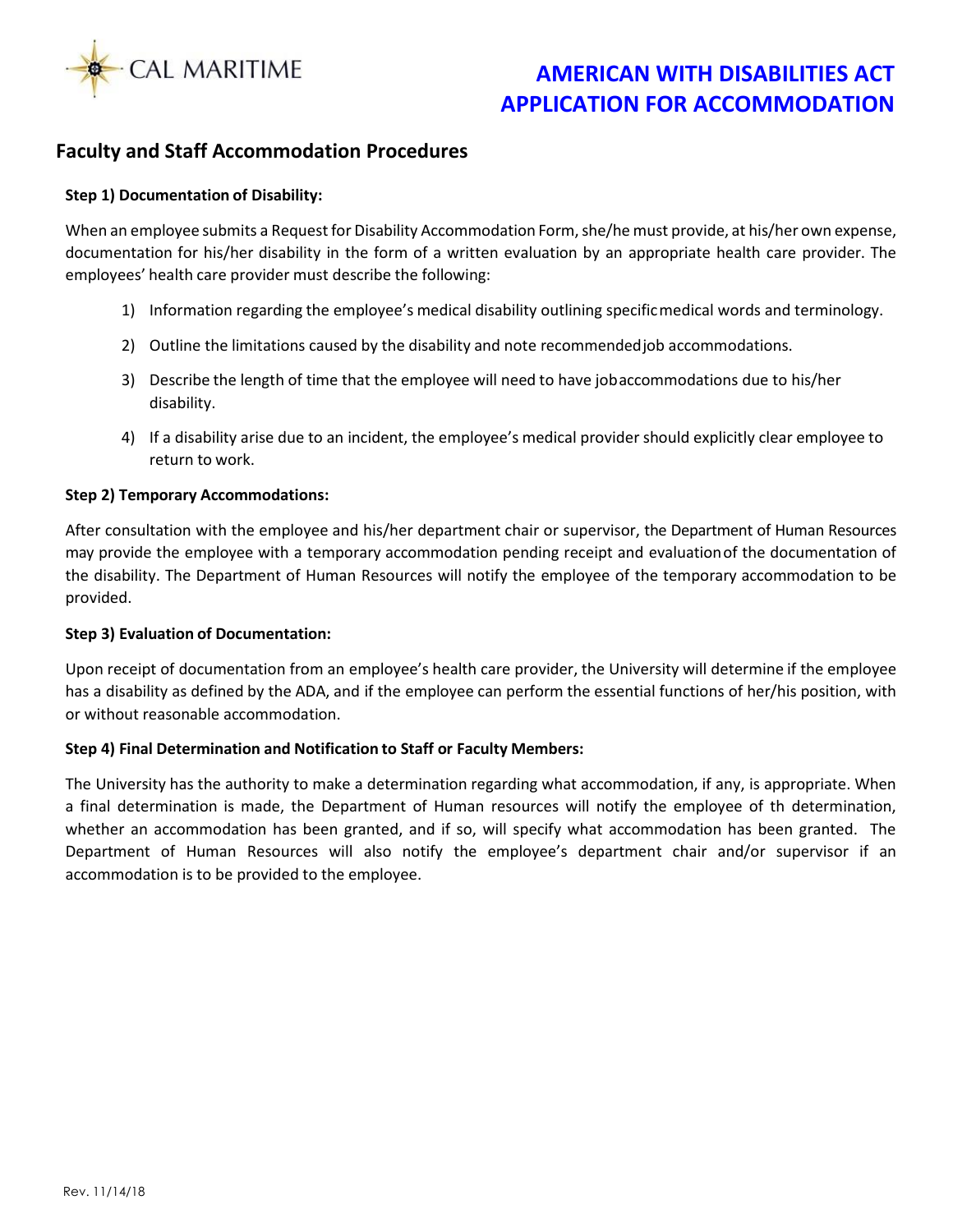

## **Faculty and Staff Accommodation Procedures**

### **Step 1) Documentation of Disability:**

When an employee submits a Request for Disability Accommodation Form, she/he must provide, at his/her own expense, documentation for his/her disability in the form of a written evaluation by an appropriate health care provider. The employees' health care provider must describe the following:

- 1) Information regarding the employee's medical disability outlining specificmedical words and terminology.
- 2) Outline the limitations caused by the disability and note recommendedjob accommodations.
- 3) Describe the length of time that the employee will need to have jobaccommodations due to his/her disability.
- 4) If a disability arise due to an incident, the employee's medical provider should explicitly clear employee to return to work.

### **Step 2) Temporary Accommodations:**

After consultation with the employee and his/her department chair or supervisor, the Department of Human Resources may provide the employee with a temporary accommodation pending receipt and evaluationof the documentation of the disability. The Department of Human Resources will notify the employee of the temporary accommodation to be provided.

### **Step 3) Evaluation of Documentation:**

Upon receipt of documentation from an employee's health care provider, the University will determine if the employee has a disability as defined by the ADA, and if the employee can perform the essential functions of her/his position, with or without reasonable accommodation.

### **Step 4) Final Determination and Notification to Staff or Faculty Members:**

The University has the authority to make a determination regarding what accommodation, if any, is appropriate. When a final determination is made, the Department of Human resources will notify the employee of th determination, whether an accommodation has been granted, and if so, will specify what accommodation has been granted. The Department of Human Resources will also notify the employee's department chair and/or supervisor if an accommodation is to be provided to the employee.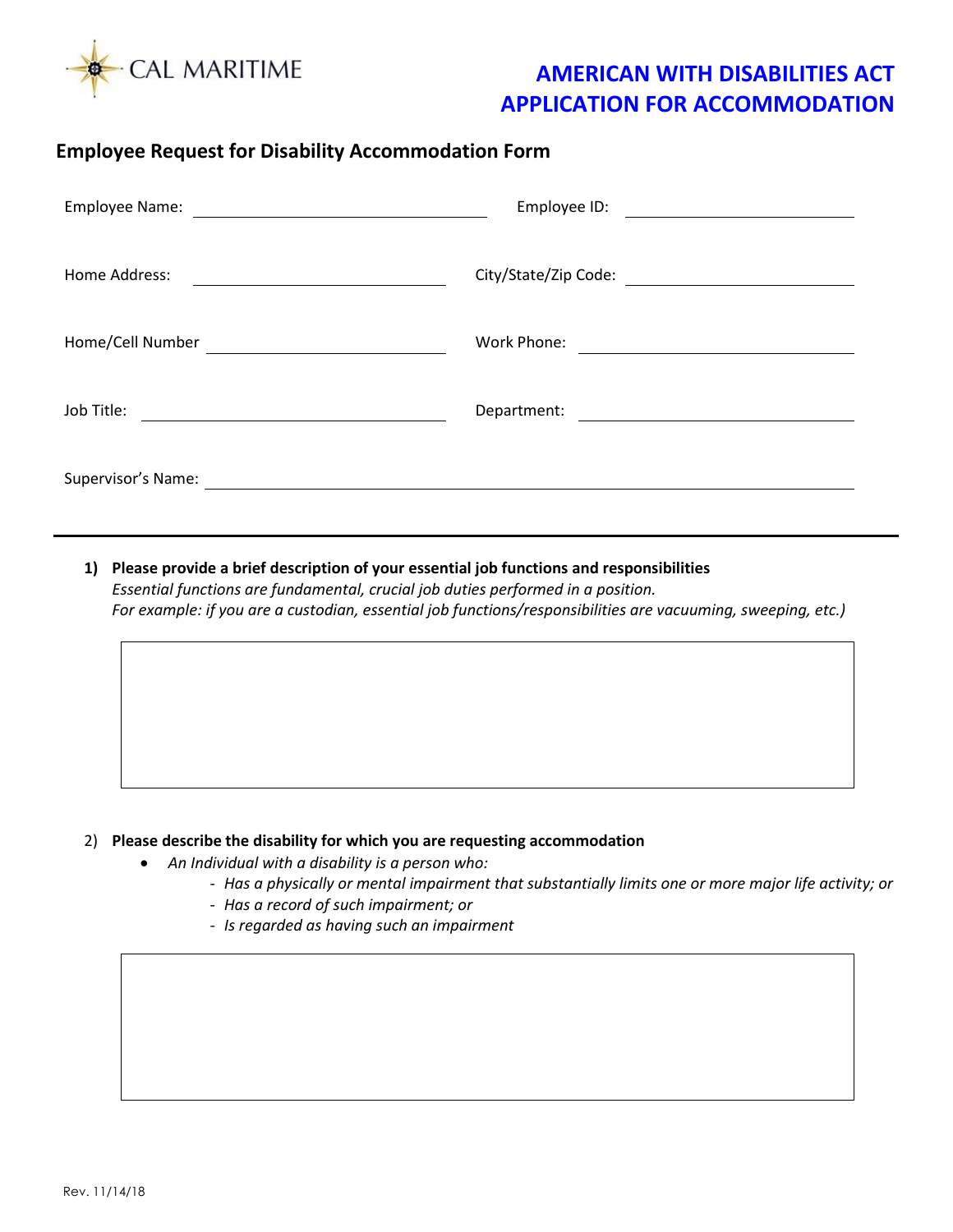

## **Employee Request for Disability Accommodation Form**

| Employee Name:                                                                                                        | Employee ID:                                                                                                         |
|-----------------------------------------------------------------------------------------------------------------------|----------------------------------------------------------------------------------------------------------------------|
| <u> 1989 - Johann Harry Harry Harry Harry Harry Harry Harry Harry Harry Harry Harry Harry Harry Harry Harry Harry</u> | <u> 1989 - John Stein, Amerikaansk politiker (</u>                                                                   |
| Home Address:                                                                                                         | City/State/Zip Code:                                                                                                 |
| Home/Cell Number                                                                                                      | Work Phone:                                                                                                          |
|                                                                                                                       | <u> Alexandria de la contexta de la contexta de la contexta de la contexta de la contexta de la contexta de la c</u> |
| Job Title:                                                                                                            | Department:                                                                                                          |
|                                                                                                                       |                                                                                                                      |
| Supervisor's Name:                                                                                                    |                                                                                                                      |

**1) Please provide a brief description of your essential job functions and responsibilities** *Essential functions are fundamental, crucial job duties performed in a position. For example: if you are a custodian, essential job functions/responsibilities are vacuuming, sweeping, etc.)*

### 2) **Please describe the disability for which you are requesting accommodation**

- *An Individual with a disability is a person who:*
	- *Has a physically or mental impairment that substantially limits one or more major life activity; or*
	- *Has a record of such impairment; or*
	- *Is regarded as having such an impairment*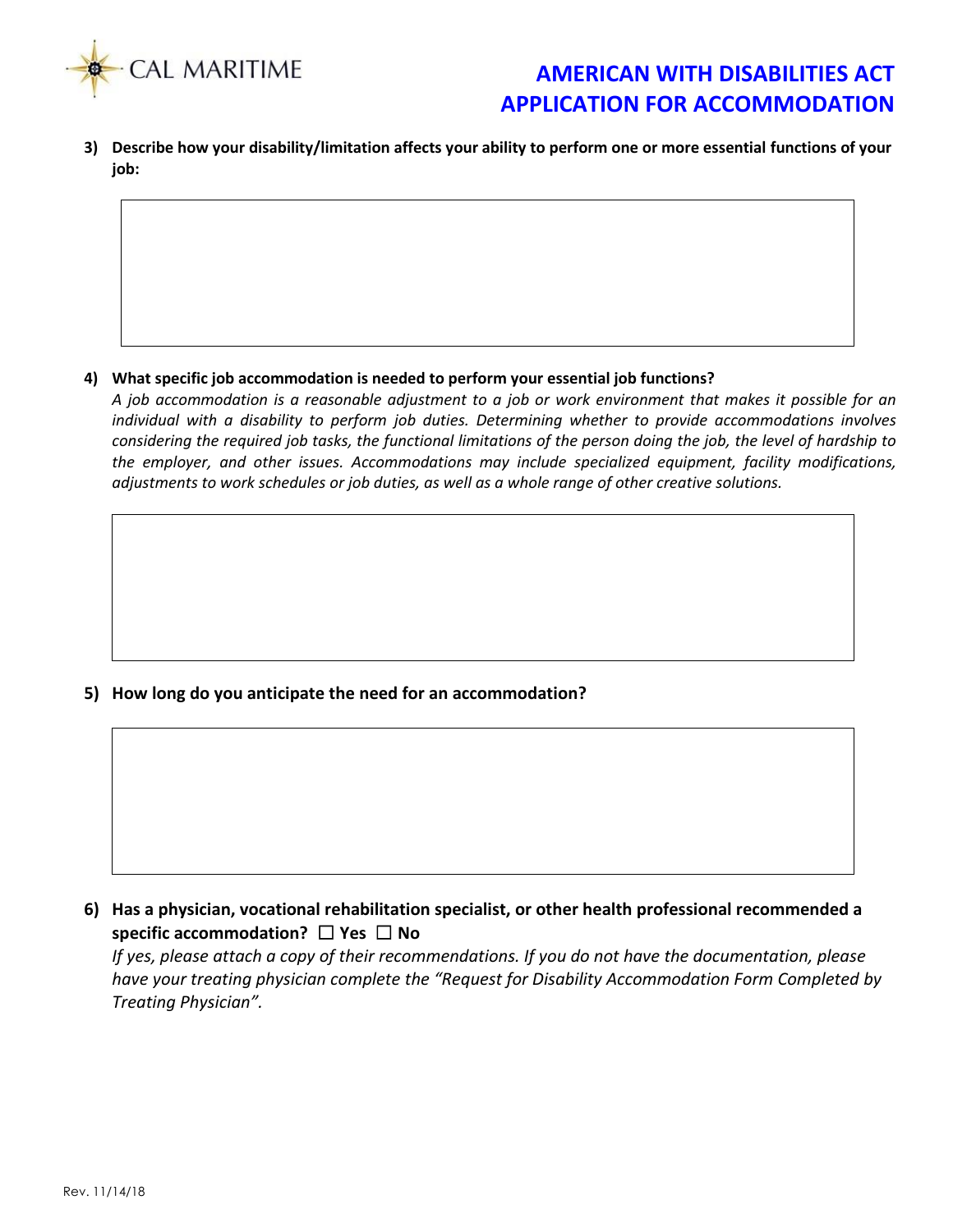

**3) Describe how your disability/limitation affects your ability to perform one or more essential functions of your job:**

### **4) What specific job accommodation is needed to perform your essential job functions?**

*A job accommodation is a reasonable adjustment to a job or work environment that makes it possible for an individual with a disability to perform job duties. Determining whether to provide accommodations involves considering the required job tasks, the functional limitations of the person doing the job, the level of hardship to the employer, and other issues. Accommodations may include specialized equipment, facility modifications, adjustments to work schedules or job duties, as well as a whole range of other creative solutions.*

**5) How long do you anticipate the need for an accommodation?**

**6) Has a physician, vocational rehabilitation specialist, or other health professional recommended a specific accommodation?** ☐ **Yes** ☐ **No**

*If yes, please attach a copy of their recommendations. If you do not have the documentation, please have your treating physician complete the "Request for Disability Accommodation Form Completed by Treating Physician".*